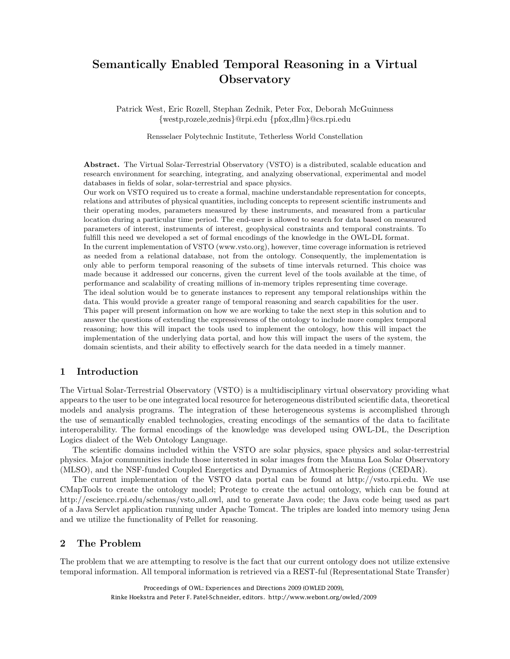# Semantically Enabled Temporal Reasoning in a Virtual **Observatory**

Patrick West, Eric Rozell, Stephan Zednik, Peter Fox, Deborah McGuinness *{*westp,rozele,zednis*}*@rpi.edu *{*pfox,dlm*}*@cs.rpi.edu

Rensselaer Polytechnic Institute, Tetherless World Constellation

Abstract. The Virtual Solar-Terrestrial Observatory (VSTO) is a distributed, scalable education and research environment for searching, integrating, and analyzing observational, experimental and model databases in fields of solar, solar-terrestrial and space physics.

Our work on VSTO required us to create a formal, machine understandable representation for concepts, relations and attributes of physical quantities, including concepts to represent scientific instruments and their operating modes, parameters measured by these instruments, and measured from a particular location during a particular time period. The end-user is allowed to search for data based on measured parameters of interest, instruments of interest, geophysical constraints and temporal constraints. To fulfill this need we developed a set of formal encodings of the knowledge in the OWL-DL format. In the current implementation of VSTO (www.vsto.org), however, time coverage information is retrieved as needed from a relational database, not from the ontology. Consequently, the implementation is only able to perform temporal reasoning of the subsets of time intervals returned. This choice was made because it addressed our concerns, given the current level of the tools available at the time, of performance and scalability of creating millions of in-memory triples representing time coverage. The ideal solution would be to generate instances to represent any temporal relationships within the data. This would provide a greater range of temporal reasoning and search capabilities for the user. This paper will present information on how we are working to take the next step in this solution and to answer the questions of extending the expressiveness of the ontology to include more complex temporal reasoning; how this will impact the tools used to implement the ontology, how this will impact the implementation of the underlying data portal, and how this will impact the users of the system, the domain scientists, and their ability to effectively search for the data needed in a timely manner.

## 1 Introduction

The Virtual Solar-Terrestrial Observatory (VSTO) is a multidisciplinary virtual observatory providing what appears to the user to be one integrated local resource for heterogeneous distributed scientific data, theoretical models and analysis programs. The integration of these heterogeneous systems is accomplished through the use of semantically enabled technologies, creating encodings of the semantics of the data to facilitate interoperability. The formal encodings of the knowledge was developed using OWL-DL, the Description Logics dialect of the Web Ontology Language.

The scientific domains included within the VSTO are solar physics, space physics and solar-terrestrial physics. Major communities include those interested in solar images from the Mauna Loa Solar Observatory (MLSO), and the NSF-funded Coupled Energetics and Dynamics of Atmospheric Regions (CEDAR).

The current implementation of the VSTO data portal can be found at http://vsto.rpi.edu. We use CMapTools to create the ontology model; Protege to create the actual ontology, which can be found at http://escience.rpi.edu/schemas/vsto\_all.owl, and to generate Java code; the Java code being used as part of a Java Servlet application running under Apache Tomcat. The triples are loaded into memory using Jena and we utilize the functionality of Pellet for reasoning.

### 2 The Problem

The problem that we are attempting to resolve is the fact that our current ontology does not utilize extensive temporal information. All temporal information is retrieved via a REST-ful (Representational State Transfer)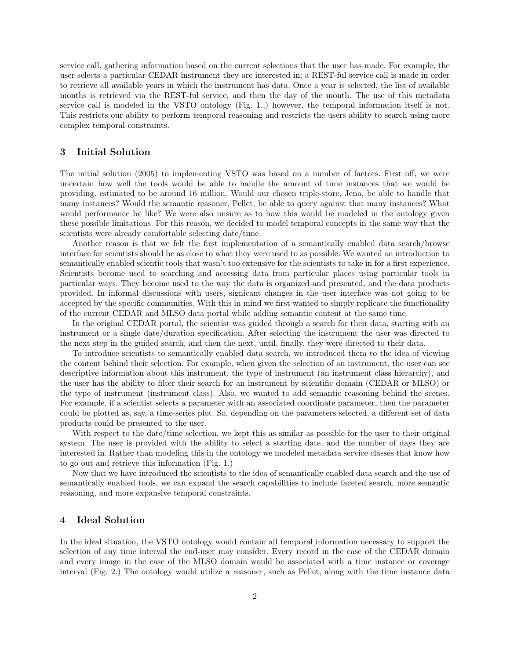service call, gathering information based on the current selections that the user has made. For example, the user selects a particular CEDAR instrument they are interested in; a REST-ful service call is made in order to retrieve all available years in which the instrument has data. Once a year is selected, the list of available months is retrieved via the REST-ful service, and then the day of the month. The use of this metadata service call is modeled in the VSTO ontology (Fig. 1.,) however, the temporal information itself is not. This restricts our ability to perform temporal reasoning and restricts the users ability to search using more complex temporal constraints.

#### 3 Initial Solution

The initial solution (2005) to implementing VSTO was based on a number of factors. First off, we were uncertain how well the tools would be able to handle the amount of time instances that we would be providing, estimated to be around 16 million. Would our chosen triple-store, Jena, be able to handle that many instances? Would the semantic reasoner, Pellet, be able to query against that many instances? What would performance be like? We were also unsure as to how this would be modeled in the ontology given these possible limitations. For this reason, we decided to model temporal concepts in the same way that the scientists were already comfortable selecting date/time.

Another reason is that we felt the first implementation of a semantically enabled data search/browse interface for scientists should be as close to what they were used to as possible. We wanted an introduction to semantically enabled scientic tools that wasn't too extensive for the scientists to take in for a first experience. Scientists become used to searching and accessing data from particular places using particular tools in particular ways. They become used to the way the data is organized and presented, and the data products provided. In informal discussions with users, signicant changes in the user interface was not going to be accepted by the specific communities. With this in mind we first wanted to simply replicate the functionality of the current CEDAR and MLSO data portal while adding semantic content at the same time.

In the original CEDAR portal, the scientist was guided through a search for their data, starting with an instrument or a single date/duration specification. After selecting the instrument the user was directed to the next step in the guided search, and then the next, until, finally, they were directed to their data.

To introduce scientists to semantically enabled data search, we introduced them to the idea of viewing the content behind their selection. For example, when given the selection of an instrument, the user can see descriptive information about this instrument, the type of instrument (an instrument class hierarchy), and the user has the ability to filter their search for an instrument by scientific domain (CEDAR or MLSO) or the type of instrument (instrument class). Also, we wanted to add semantic reasoning behind the scenes. For example, if a scientist selects a parameter with an associated coordinate parameter, then the parameter could be plotted as, say, a time-series plot. So, depending on the parameters selected, a different set of data products could be presented to the user.

With respect to the date/time selection, we kept this as similar as possible for the user to their original system. The user is provided with the ability to select a starting date, and the number of days they are interested in. Rather than modeling this in the ontology we modeled metadata service classes that know how to go out and retrieve this information (Fig. 1.)

Now that we have introduced the scientists to the idea of semantically enabled data search and the use of semantically enabled tools, we can expand the search capabilities to include faceted search, more semantic reasoning, and more expansive temporal constraints.

### 4 Ideal Solution

In the ideal situation, the VSTO ontology would contain all temporal information necessary to support the selection of any time interval the end-user may consider. Every record in the case of the CEDAR domain and every image in the case of the MLSO domain would be associated with a time instance or coverage interval (Fig. 2.) The ontology would utilize a reasoner, such as Pellet, along with the time instance data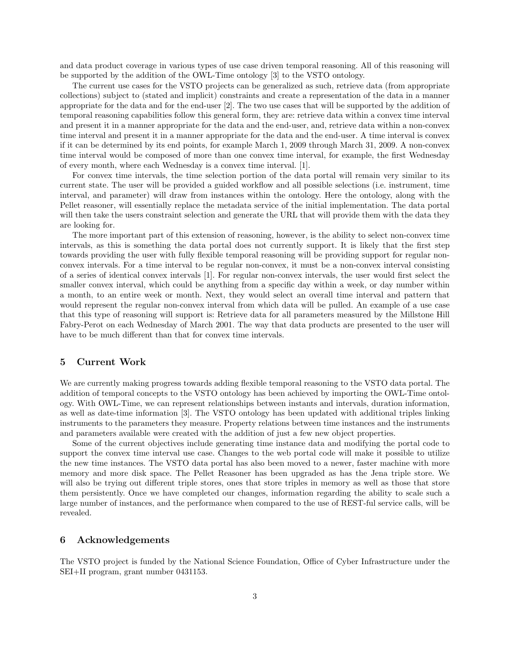and data product coverage in various types of use case driven temporal reasoning. All of this reasoning will be supported by the addition of the OWL-Time ontology [3] to the VSTO ontology.

The current use cases for the VSTO projects can be generalized as such, retrieve data (from appropriate collections) subject to (stated and implicit) constraints and create a representation of the data in a manner appropriate for the data and for the end-user [2]. The two use cases that will be supported by the addition of temporal reasoning capabilities follow this general form, they are: retrieve data within a convex time interval and present it in a manner appropriate for the data and the end-user, and, retrieve data within a non-convex time interval and present it in a manner appropriate for the data and the end-user. A time interval is convex if it can be determined by its end points, for example March 1, 2009 through March 31, 2009. A non-convex time interval would be composed of more than one convex time interval, for example, the first Wednesday of every month, where each Wednesday is a convex time interval. [1].

For convex time intervals, the time selection portion of the data portal will remain very similar to its current state. The user will be provided a guided workflow and all possible selections (i.e. instrument, time interval, and parameter) will draw from instances within the ontology. Here the ontology, along with the Pellet reasoner, will essentially replace the metadata service of the initial implementation. The data portal will then take the users constraint selection and generate the URL that will provide them with the data they are looking for.

The more important part of this extension of reasoning, however, is the ability to select non-convex time intervals, as this is something the data portal does not currently support. It is likely that the first step towards providing the user with fully flexible temporal reasoning will be providing support for regular nonconvex intervals. For a time interval to be regular non-convex, it must be a non-convex interval consisting of a series of identical convex intervals [1]. For regular non-convex intervals, the user would first select the smaller convex interval, which could be anything from a specific day within a week, or day number within a month, to an entire week or month. Next, they would select an overall time interval and pattern that would represent the regular non-convex interval from which data will be pulled. An example of a use case that this type of reasoning will support is: Retrieve data for all parameters measured by the Millstone Hill Fabry-Perot on each Wednesday of March 2001. The way that data products are presented to the user will have to be much different than that for convex time intervals.

#### 5 Current Work

We are currently making progress towards adding flexible temporal reasoning to the VSTO data portal. The addition of temporal concepts to the VSTO ontology has been achieved by importing the OWL-Time ontology. With OWL-Time, we can represent relationships between instants and intervals, duration information, as well as date-time information [3]. The VSTO ontology has been updated with additional triples linking instruments to the parameters they measure. Property relations between time instances and the instruments and parameters available were created with the addition of just a few new object properties.

Some of the current objectives include generating time instance data and modifying the portal code to support the convex time interval use case. Changes to the web portal code will make it possible to utilize the new time instances. The VSTO data portal has also been moved to a newer, faster machine with more memory and more disk space. The Pellet Reasoner has been upgraded as has the Jena triple store. We will also be trying out different triple stores, ones that store triples in memory as well as those that store them persistently. Once we have completed our changes, information regarding the ability to scale such a large number of instances, and the performance when compared to the use of REST-ful service calls, will be revealed.

#### 6 Acknowledgements

The VSTO project is funded by the National Science Foundation, Office of Cyber Infrastructure under the SEI+II program, grant number 0431153.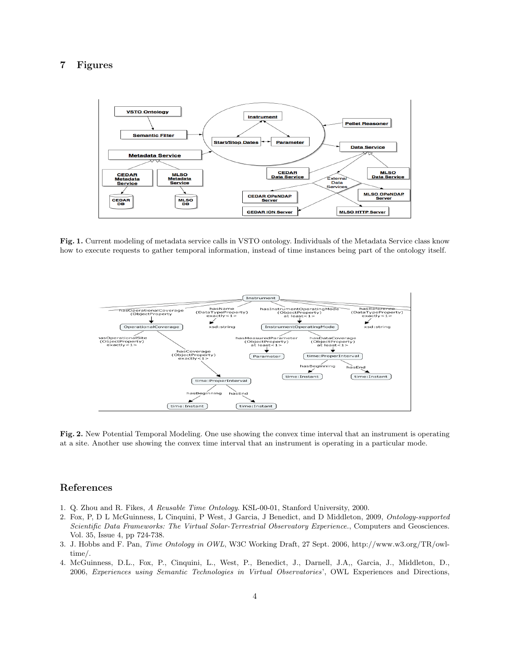# 7 Figures



Fig. 1. Current modeling of metadata service calls in VSTO ontology. Individuals of the Metadata Service class know how to execute requests to gather temporal information, instead of time instances being part of the ontology itself.



Fig. 2. New Potential Temporal Modeling. One use showing the convex time interval that an instrument is operating at a site. Another use showing the convex time interval that an instrument is operating in a particular mode.

#### References

- 1. Q. Zhou and R. Fikes, *A Reusable Time Ontology*. KSL-00-01, Stanford University, 2000.
- 2. Fox, P, D L McGuinness, L Cinquini, P West, J Garcia, J Benedict, and D Middleton, 2009, *Ontology-supported Scientific Data Frameworks: The Virtual Solar-Terrestrial Observatory Experience.*, Computers and Geosciences. Vol. 35, Issue 4, pp 724-738.
- 3. J. Hobbs and F. Pan, *Time Ontology in OWL*, W3C Working Draft, 27 Sept. 2006, http://www.w3.org/TR/owltime/.
- 4. McGuinness, D.L., Fox, P., Cinquini, L., West, P., Benedict, J., Darnell, J.A,, Garcia, J., Middleton, D., 2006, *Experiences using Semantic Technologies in Virtual Observatories*', OWL Experiences and Directions,